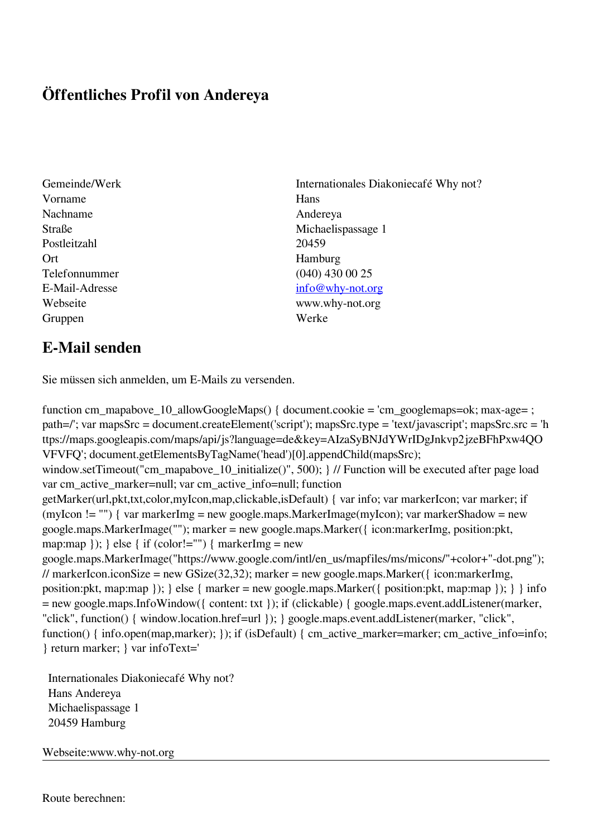## **Öffentliches Profil von Andereya**

- Gemeinde/Werk Internationales Diakoniecafé Why not? Vorname Hans Nachname Andereya Postleitzahl 20459 Ort Hamburg Telefonnummer (040) 430 00 25 Gruppen Werke
- Straße Michaelispassage 1 E-Mail-Adresse [info@why-not.org](mailto:info@why-not.org) Webseite www.why-not.org

## **E-Mail senden**

Sie müssen sich anmelden, um E-Mails zu versenden.

function cm\_mapabove\_10\_allowGoogleMaps() { document.cookie = 'cm\_googlemaps=ok; max-age= ; path=/'; var mapsSrc = document.createElement('script'); mapsSrc.type = 'text/javascript'; mapsSrc.src = 'h ttps://maps.googleapis.com/maps/api/js?language=de&key=AIzaSyBNJdYWrIDgJnkvp2jzeBFhPxw4QO VFVFQ'; document.getElementsByTagName('head')[0].appendChild(mapsSrc); window.setTimeout("cm\_mapabove\_10\_initialize()", 500); } // Function will be executed after page load var cm\_active\_marker=null; var cm\_active\_info=null; function getMarker(url,pkt,txt,color,myIcon,map,clickable,isDefault) { var info; var markerIcon; var marker; if (myIcon != "") { var markerImg = new google.maps.MarkerImage(myIcon); var markerShadow = new google.maps.MarkerImage(""); marker = new google.maps.Marker({ icon:markerImg, position:pkt, map:map  $\}$ ;  $\}$  else  $\{$  if (color!="")  $\{$  markerImg = new google.maps.MarkerImage("https://www.google.com/intl/en\_us/mapfiles/ms/micons/"+color+"-dot.png"); // markerIcon.iconSize = new GSize(32,32); marker = new google.maps.Marker( $\{$  icon:markerImg, position:pkt, map:map }); } else { marker = new google.maps.Marker({ position:pkt, map:map }); } } info = new google.maps.InfoWindow({ content: txt }); if (clickable) { google.maps.event.addListener(marker, "click", function() { window.location.href=url }); } google.maps.event.addListener(marker, "click", function() { info.open(map,marker); }); if (isDefault) { cm\_active\_marker=marker; cm\_active\_info=info; } return marker; } var infoText='

 Internationales Diakoniecafé Why not? Hans Andereya Michaelispassage 1 20459 Hamburg

Webseite:www.why-not.org

Route berechnen: